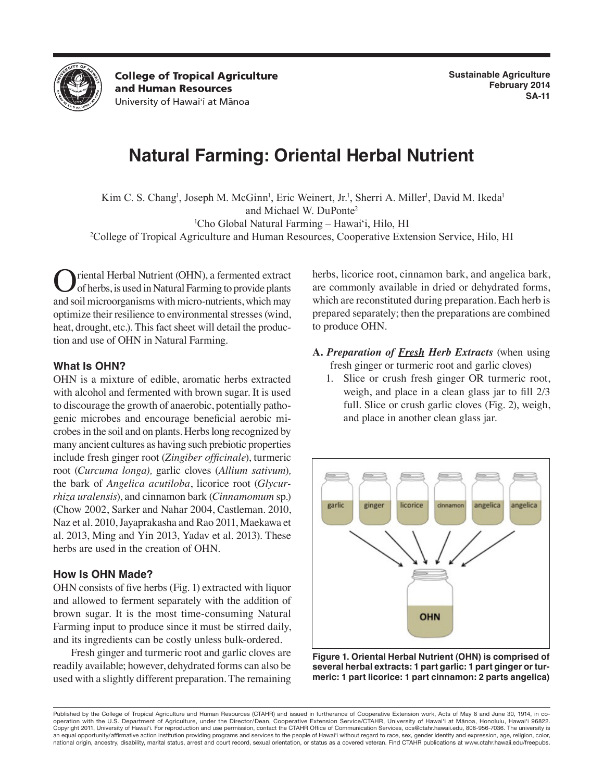

**College of Tropical Agriculture** and Human Resources University of Hawai'i at Mānoa

# **Natural Farming: Oriental Herbal Nutrient**

Kim C. S. Chang<sup>1</sup>, Joseph M. McGinn<sup>1</sup>, Eric Weinert, Jr.<sup>1</sup>, Sherri A. Miller<sup>1</sup>, David M. Ikeda<sup>1</sup> and Michael W. DuPonte2 1 Cho Global Natural Farming – Hawai'i, Hilo, HI

2 College of Tropical Agriculture and Human Resources, Cooperative Extension Service, Hilo, HI

riental Herbal Nutrient (OHN), a fermented extract of herbs, is used in Natural Farming to provide plants and soil microorganisms with micro-nutrients, which may optimize their resilience to environmental stresses (wind, heat, drought, etc.). This fact sheet will detail the production and use of OHN in Natural Farming.

# **What Is OHN?**

OHN is a mixture of edible, aromatic herbs extracted with alcohol and fermented with brown sugar. It is used to discourage the growth of anaerobic, potentially pathogenic microbes and encourage beneficial aerobic microbes in the soil and on plants. Herbs long recognized by many ancient cultures as having such prebiotic properties include fresh ginger root (*Zingiber officinale*), turmeric root (*Curcuma longa),* garlic cloves (*Allium sativum*)*,*  the bark of *Angelica acutiloba*, licorice root (*Glycurrhiza uralensis*), and cinnamon bark (*Cinnamomum* sp.) (Chow 2002, Sarker and Nahar 2004, Castleman. 2010, Naz et al. 2010, Jayaprakasha and Rao 2011, Maekawa et al. 2013, Ming and Yin 2013, Yadav et al. 2013). These herbs are used in the creation of OHN.

### **How Is OHN Made?**

OHN consists of five herbs (Fig. 1) extracted with liquor and allowed to ferment separately with the addition of brown sugar. It is the most time-consuming Natural Farming input to produce since it must be stirred daily, and its ingredients can be costly unless bulk-ordered.

Fresh ginger and turmeric root and garlic cloves are readily available; however, dehydrated forms can also be used with a slightly different preparation. The remaining herbs, licorice root, cinnamon bark, and angelica bark, are commonly available in dried or dehydrated forms, which are reconstituted during preparation. Each herb is prepared separately; then the preparations are combined to produce OHN.

- **A.** *Preparation of Fresh Herb Extracts* (when using fresh ginger or turmeric root and garlic cloves)
	- 1. Slice or crush fresh ginger OR turmeric root, weigh, and place in a clean glass jar to fill 2/3 full. Slice or crush garlic cloves (Fig. 2), weigh, and place in another clean glass jar.



**Figure 1. Oriental Herbal Nutrient (OHN) is comprised of several herbal extracts: 1 part garlic: 1 part ginger or turmeric: 1 part licorice: 1 part cinnamon: 2 parts angelica)**

Published by the College of Tropical Agriculture and Human Resources (CTAHR) and issued in furtherance of Cooperative Extension work, Acts of May 8 and June 30, 1914, in cooperation with the U.S. Department of Agriculture, under the Director/Dean, Cooperative Extension Service/CTAHR, University of Hawai'i at Mānoa, Honolulu, Hawai'i 96822. Copyright 2011, University of Hawai'i. For reproduction and use permission, contact the CTAHR Office of Communication Services, ocs@ctahr.hawaii.edu, 808-956-7036. The university is an equal opportunity/affirmative action institution providing programs and services to the people of Hawai'i without regard to race, sex, gender identity and expression, age, religion, color, national origin, ancestry, disability, marital status, arrest and court record, sexual orientation, or status as a covered veteran. Find CTAHR publications at www.ctahr.hawaii.edu/freepubs.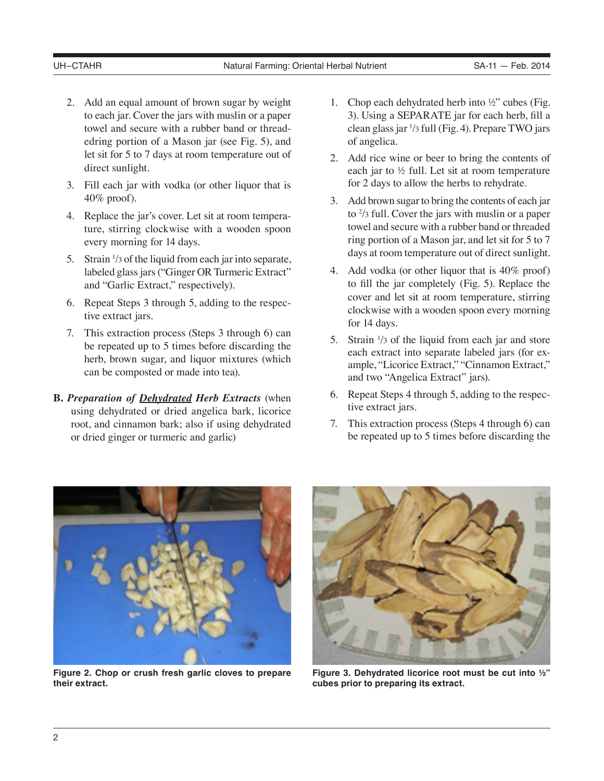- 2. Add an equal amount of brown sugar by weight to each jar. Cover the jars with muslin or a paper towel and secure with a rubber band or threadedring portion of a Mason jar (see Fig. 5), and let sit for 5 to 7 days at room temperature out of direct sunlight.
- 3. Fill each jar with vodka (or other liquor that is 40% proof).
- 4. Replace the jar's cover. Let sit at room temperature, stirring clockwise with a wooden spoon every morning for 14 days.
- 5. Strain  $\frac{1}{3}$  of the liquid from each jar into separate, labeled glass jars ("Ginger OR Turmeric Extract" and "Garlic Extract," respectively).
- 6. Repeat Steps 3 through 5, adding to the respective extract jars.
- 7. This extraction process (Steps 3 through 6) can be repeated up to 5 times before discarding the herb, brown sugar, and liquor mixtures (which can be composted or made into tea).
- **B.** *Preparation of Dehydrated Herb Extracts* (when using dehydrated or dried angelica bark, licorice root, and cinnamon bark; also if using dehydrated or dried ginger or turmeric and garlic)
- 1. Chop each dehydrated herb into ½" cubes (Fig. 3). Using a SEPARATE jar for each herb, fill a clean glass jar 1 /3 full (Fig. 4). Prepare TWO jars of angelica.
- 2. Add rice wine or beer to bring the contents of each jar to ½ full. Let sit at room temperature for 2 days to allow the herbs to rehydrate.
- 3. Add brown sugar to bring the contents of each jar to  $\frac{2}{3}$  full. Cover the jars with muslin or a paper towel and secure with a rubber band or threaded ring portion of a Mason jar, and let sit for 5 to 7 days at room temperature out of direct sunlight.
- 4. Add vodka (or other liquor that is 40% proof) to fill the jar completely (Fig. 5). Replace the cover and let sit at room temperature, stirring clockwise with a wooden spoon every morning for 14 days.
- 5. Strain  $\frac{1}{3}$  of the liquid from each jar and store each extract into separate labeled jars (for example, "Licorice Extract," "Cinnamon Extract," and two "Angelica Extract" jars).
- 6. Repeat Steps 4 through 5, adding to the respective extract jars.
- 7. This extraction process (Steps 4 through 6) can be repeated up to 5 times before discarding the



**Figure 2. Chop or crush fresh garlic cloves to prepare their extract.**



**Figure 3. Dehydrated licorice root must be cut into ½" cubes prior to preparing its extract.**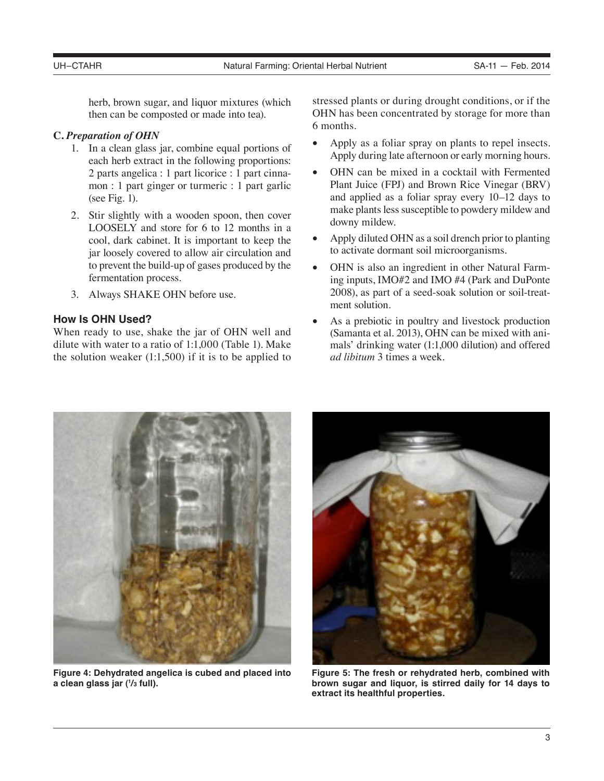herb, brown sugar, and liquor mixtures (which then can be composted or made into tea).

# **C.** *Preparation of OHN*

- 1. In a clean glass jar, combine equal portions of each herb extract in the following proportions: 2 parts angelica : 1 part licorice : 1 part cinnamon : 1 part ginger or turmeric : 1 part garlic (see Fig. 1).
- 2. Stir slightly with a wooden spoon, then cover LOOSELY and store for 6 to 12 months in a cool, dark cabinet. It is important to keep the jar loosely covered to allow air circulation and to prevent the build-up of gases produced by the fermentation process.
- 3. Always SHAKE OHN before use.

# **How Is OHN Used?**

When ready to use, shake the jar of OHN well and dilute with water to a ratio of 1:1,000 (Table 1). Make the solution weaker  $(1:1,500)$  if it is to be applied to stressed plants or during drought conditions, or if the OHN has been concentrated by storage for more than 6 months.

- Apply as a foliar spray on plants to repel insects. Apply during late afternoon or early morning hours.
- OHN can be mixed in a cocktail with Fermented Plant Juice (FPJ) and Brown Rice Vinegar (BRV) and applied as a foliar spray every 10–12 days to make plants less susceptible to powdery mildew and downy mildew.
- Apply diluted OHN as a soil drench prior to planting to activate dormant soil microorganisms.
- OHN is also an ingredient in other Natural Farming inputs, IMO#2 and IMO #4 (Park and DuPonte 2008), as part of a seed-soak solution or soil-treatment solution.
- As a prebiotic in poultry and livestock production (Samanta et al. 2013), OHN can be mixed with animals' drinking water (1:1,000 dilution) and offered *ad libitum* 3 times a week.



**Figure 4: Dehydrated angelica is cubed and placed into a clean glass jar (1 /3 full).**



**Figure 5: The fresh or rehydrated herb, combined with brown sugar and liquor, is stirred daily for 14 days to extract its healthful properties.**